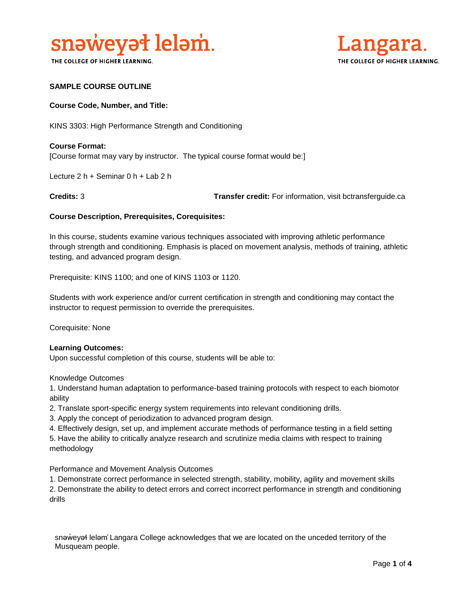

THE COLLEGE OF HIGHER LEARNING.



## **SAMPLE COURSE OUTLINE**

#### **Course Code, Number, and Title:**

KINS 3303: High Performance Strength and Conditioning

# **Course Format:** [Course format may vary by instructor. The typical course format would be:]

Lecture 2 h + Seminar 0 h + Lab 2 h

**Credits:** 3 **Transfer credit:** For information, visit bctransferguide.ca

#### **Course Description, Prerequisites, Corequisites:**

In this course, students examine various techniques associated with improving athletic performance through strength and conditioning. Emphasis is placed on movement analysis, methods of training, athletic testing, and advanced program design.

Prerequisite: KINS 1100; and one of KINS 1103 or 1120.

Students with work experience and/or current certification in strength and conditioning may contact the instructor to request permission to override the prerequisites.

Corequisite: None

#### **Learning Outcomes:**

Upon successful completion of this course, students will be able to:

Knowledge Outcomes

1. Understand human adaptation to performance-based training protocols with respect to each biomotor ability

2. Translate sport-specific energy system requirements into relevant conditioning drills.

- 3. Apply the concept of periodization to advanced program design.
- 4. Effectively design, set up, and implement accurate methods of performance testing in a field setting
- 5. Have the ability to critically analyze research and scrutinize media claims with respect to training methodology

Performance and Movement Analysis Outcomes

1. Demonstrate correct performance in selected strength, stability, mobility, agility and movement skills

2. Demonstrate the ability to detect errors and correct incorrect performance in strength and conditioning drills

snaweyał lelam' Langara College acknowledges that we are located on the unceded territory of the Musqueam people.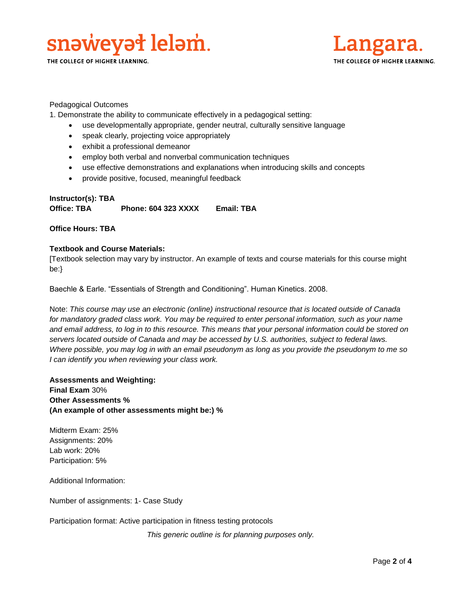

THE COLLEGE OF HIGHER LEARNING.



Pedagogical Outcomes

1. Demonstrate the ability to communicate effectively in a pedagogical setting:

- use developmentally appropriate, gender neutral, culturally sensitive language
- speak clearly, projecting voice appropriately
- exhibit a professional demeanor
- employ both verbal and nonverbal communication techniques
- use effective demonstrations and explanations when introducing skills and concepts
- provide positive, focused, meaningful feedback

# **Instructor(s): TBA Office: TBA Phone: 604 323 XXXX Email: TBA**

## **Office Hours: TBA**

# **Textbook and Course Materials:**

[Textbook selection may vary by instructor. An example of texts and course materials for this course might be:}

Baechle & Earle. "Essentials of Strength and Conditioning". Human Kinetics. 2008.

Note: *This course may use an electronic (online) instructional resource that is located outside of Canada*  for mandatory graded class work. You may be required to enter personal information, such as your name *and email address, to log in to this resource. This means that your personal information could be stored on servers located outside of Canada and may be accessed by U.S. authorities, subject to federal laws. Where possible, you may log in with an email pseudonym as long as you provide the pseudonym to me so I can identify you when reviewing your class work.* 

**Assessments and Weighting: Final Exam** 30% **Other Assessments % (An example of other assessments might be:) %**

Midterm Exam: 25% Assignments: 20% Lab work: 20% Participation: 5%

Additional Information:

Number of assignments: 1- Case Study

Participation format: Active participation in fitness testing protocols

*This generic outline is for planning purposes only.*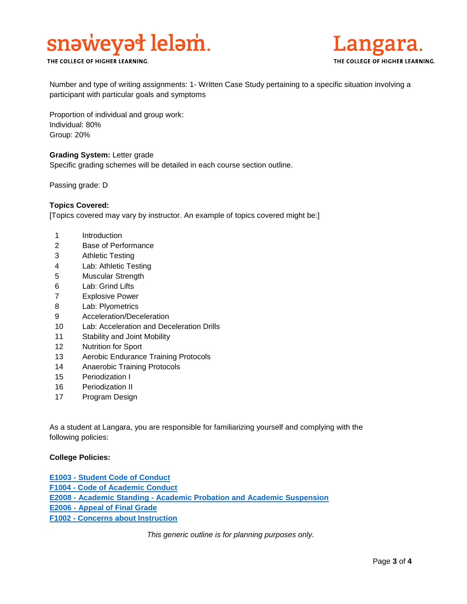

THE COLLEGE OF HIGHER LEARNING.



Number and type of writing assignments: 1- Written Case Study pertaining to a specific situation involving a participant with particular goals and symptoms

Proportion of individual and group work: Individual: 80% Group: 20%

#### **Grading System:** Letter grade

Specific grading schemes will be detailed in each course section outline.

Passing grade: D

## **Topics Covered:**

[Topics covered may vary by instructor. An example of topics covered might be:]

- 1 Introduction
- 2 Base of Performance
- 3 Athletic Testing
- 4 Lab: Athletic Testing
- 5 Muscular Strength
- 6 Lab: Grind Lifts
- 7 Explosive Power
- 8 Lab: Plyometrics
- 9 Acceleration/Deceleration
- 10 Lab: Acceleration and Deceleration Drills
- 11 Stability and Joint Mobility
- 12 Nutrition for Sport
- 13 Aerobic Endurance Training Protocols
- 14 Anaerobic Training Protocols
- 15 Periodization I
- 16 Periodization II
- 17 Program Design

As a student at Langara, you are responsible for familiarizing yourself and complying with the following policies:

## **College Policies:**

**E1003 - [Student Code of Conduct](https://langara.ca/about-langara/policies/pdf/E1003.pdf)  F1004 - [Code of Academic Conduct](http://langara.bc.ca/registration-and-records/pdf/F1004.pdf) E2008 - Academic Standing - [Academic Probation and Academic Suspension](file://///EMPLHOME_SERVER/HOME/ACCOUNTS/EMPL/SBOWERS/Committee%20Work/Course%20Outline%20Policy%20Committee/E2008%20-%20Academic%20Standing%20-%20Academic%20Probation%20and%20Academic%20Suspension) E2006 - [Appeal of Final Grade](http://langara.bc.ca/registration-and-records/pdf/E2006.pdf) F1002 - [Concerns about Instruction](http://langara.bc.ca/registration-and-records/pdf/F1002.pdf)**

*This generic outline is for planning purposes only.*